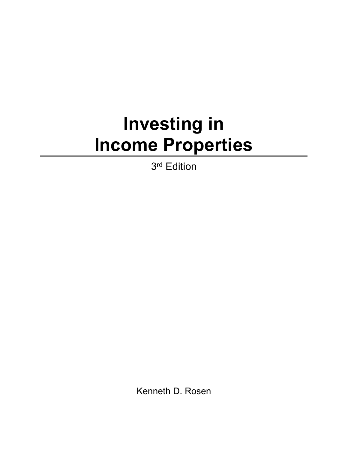## **Investing in Income Properties**

3 rd Edition

Kenneth D. Rosen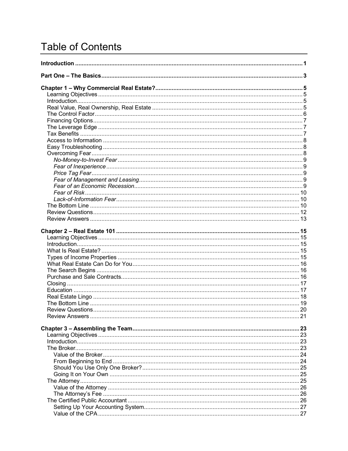## **Table of Contents**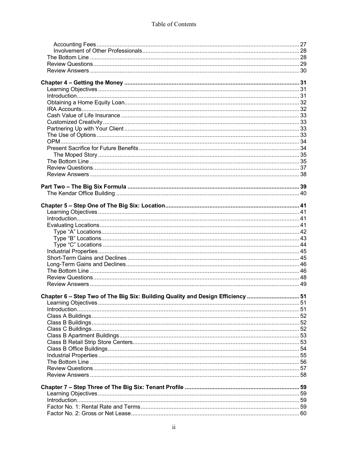| Chapter 6 - Step Two of The Big Six: Building Quality and Design Efficiency  51 |  |
|---------------------------------------------------------------------------------|--|
|                                                                                 |  |
|                                                                                 |  |
|                                                                                 |  |
|                                                                                 |  |
|                                                                                 |  |
|                                                                                 |  |
|                                                                                 |  |
|                                                                                 |  |
|                                                                                 |  |
|                                                                                 |  |
|                                                                                 |  |
|                                                                                 |  |
|                                                                                 |  |
|                                                                                 |  |
|                                                                                 |  |
|                                                                                 |  |
|                                                                                 |  |
|                                                                                 |  |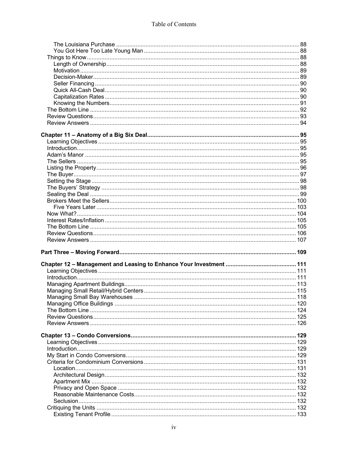| 118 |
|-----|
|     |
|     |
|     |
|     |
|     |
|     |
|     |
|     |
|     |
|     |
|     |
|     |
|     |
|     |
|     |
|     |
|     |
|     |